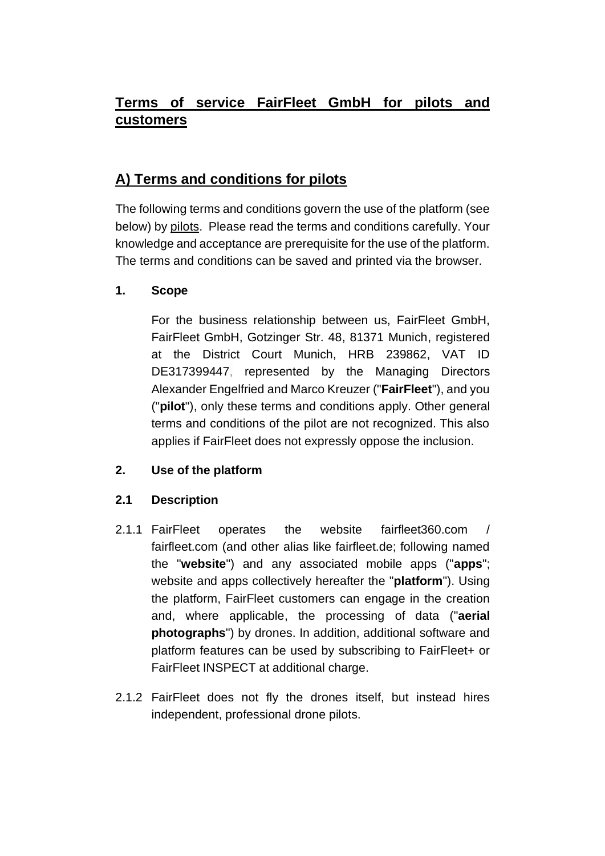# **Terms of service FairFleet GmbH for pilots and customers**

# **A) Terms and conditions for pilots**

The following terms and conditions govern the use of the platform (see below) by pilots. Please read the terms and conditions carefully. Your knowledge and acceptance are prerequisite for the use of the platform. The terms and conditions can be saved and printed via the browser.

# **1. Scope**

For the business relationship between us, FairFleet GmbH, FairFleet GmbH, Gotzinger Str. 48, 81371 Munich, registered at the District Court Munich, HRB 239862, VAT ID DE317399447, represented by the Managing Directors Alexander Engelfried and Marco Kreuzer ("**FairFleet**"), and you ("**pilot**"), only these terms and conditions apply. Other general terms and conditions of the pilot are not recognized. This also applies if FairFleet does not expressly oppose the inclusion.

# **2. Use of the platform**

# **2.1 Description**

- 2.1.1 FairFleet operates the website fairfleet360.com / fairfleet.com (and other alias like fairfleet.de; following named the "**website**") and any associated mobile apps ("**apps**"; website and apps collectively hereafter the "**platform**"). Using the platform, FairFleet customers can engage in the creation and, where applicable, the processing of data ("**aerial photographs**") by drones. In addition, additional software and platform features can be used by subscribing to FairFleet+ or FairFleet INSPECT at additional charge.
- <span id="page-0-0"></span>2.1.2 FairFleet does not fly the drones itself, but instead hires independent, professional drone pilots.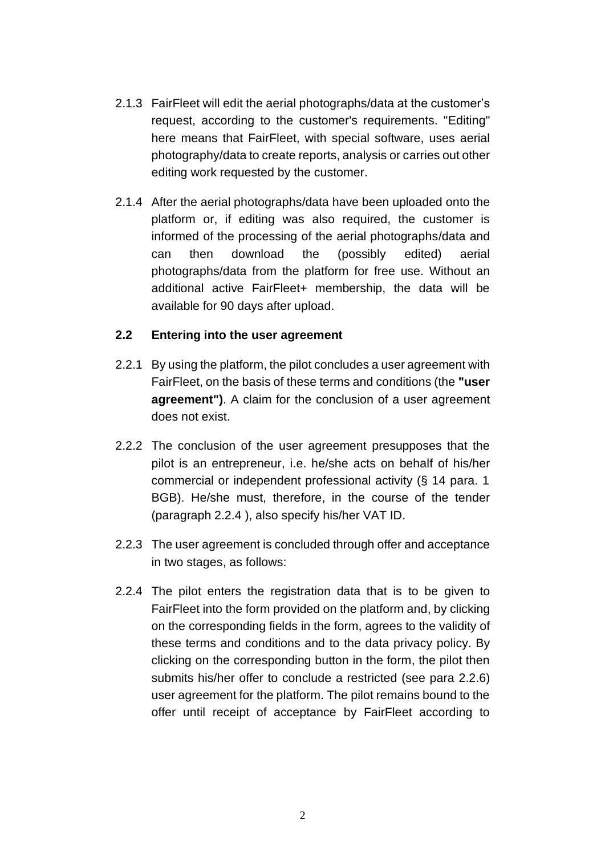- 2.1.3 FairFleet will edit the aerial photographs/data at the customer's request, according to the customer's requirements. "Editing" here means that FairFleet, with special software, uses aerial photography/data to create reports, analysis or carries out other editing work requested by the customer.
- 2.1.4 After the aerial photographs/data have been uploaded onto the platform or, if editing was also required, the customer is informed of the processing of the aerial photographs/data and can then download the (possibly edited) aerial photographs/data from the platform for free use. Without an additional active FairFleet+ membership, the data will be available for 90 days after upload.

#### <span id="page-1-1"></span>**2.2 Entering into the user agreement**

- 2.2.1 By using the platform, the pilot concludes a user agreement with FairFleet, on the basis of these terms and conditions (the **"user agreement")**. A claim for the conclusion of a user agreement does not exist.
- 2.2.2 The conclusion of the user agreement presupposes that the pilot is an entrepreneur, i.e. he/she acts on behalf of his/her commercial or independent professional activity (§ 14 para. 1 BGB). He/she must, therefore, in the course of the tender (paragraph [2.2.4](#page-1-0) ), also specify his/her VAT ID.
- 2.2.3 The user agreement is concluded through offer and acceptance in two stages, as follows:
- <span id="page-1-0"></span>2.2.4 The pilot enters the registration data that is to be given to FairFleet into the form provided on the platform and, by clicking on the corresponding fields in the form, agrees to the validity of these terms and conditions and to the data privacy policy. By clicking on the corresponding button in the form, the pilot then submits his/her offer to conclude a restricted (see para [2.2.6\)](#page-2-0) user agreement for the platform. The pilot remains bound to the offer until receipt of acceptance by FairFleet according to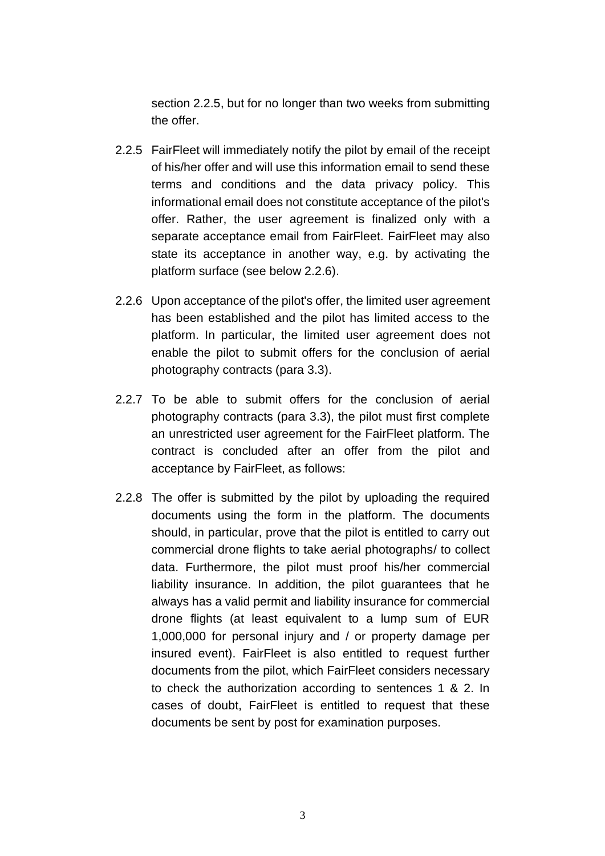section [2.2.5,](#page-2-1) but for no longer than two weeks from submitting the offer.

- <span id="page-2-1"></span>2.2.5 FairFleet will immediately notify the pilot by email of the receipt of his/her offer and will use this information email to send these terms and conditions and the data privacy policy. This informational email does not constitute acceptance of the pilot's offer. Rather, the user agreement is finalized only with a separate acceptance email from FairFleet. FairFleet may also state its acceptance in another way, e.g. by activating the platform surface (see below [2.2.6\)](#page-2-0).
- <span id="page-2-0"></span>2.2.6 Upon acceptance of the pilot's offer, the limited user agreement has been established and the pilot has limited access to the platform. In particular, the limited user agreement does not enable the pilot to submit offers for the conclusion of aerial photography contracts (para [3.3\)](#page-6-0).
- <span id="page-2-3"></span>2.2.7 To be able to submit offers for the conclusion of aerial photography contracts (para [3.3\)](#page-6-0), the pilot must first complete an unrestricted user agreement for the FairFleet platform. The contract is concluded after an offer from the pilot and acceptance by FairFleet, as follows:
- <span id="page-2-2"></span>2.2.8 The offer is submitted by the pilot by uploading the required documents using the form in the platform. The documents should, in particular, prove that the pilot is entitled to carry out commercial drone flights to take aerial photographs/ to collect data. Furthermore, the pilot must proof his/her commercial liability insurance. In addition, the pilot guarantees that he always has a valid permit and liability insurance for commercial drone flights (at least equivalent to a lump sum of EUR 1,000,000 for personal injury and / or property damage per insured event). FairFleet is also entitled to request further documents from the pilot, which FairFleet considers necessary to check the authorization according to sentences 1 & 2. In cases of doubt, FairFleet is entitled to request that these documents be sent by post for examination purposes.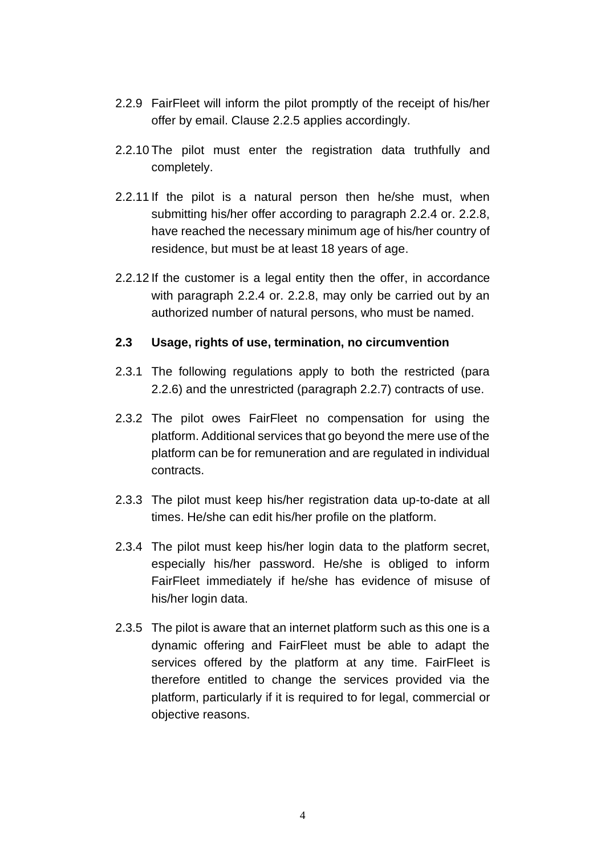- 2.2.9 FairFleet will inform the pilot promptly of the receipt of his/her offer by email. Clause [2.2.5](#page-2-1) applies accordingly.
- <span id="page-3-1"></span>2.2.10 The pilot must enter the registration data truthfully and completely.
- 2.2.11 If the pilot is a natural person then he/she must, when submitting his/her offer according to paragraph [2.2.4](#page-1-0) or. [2.2.8,](#page-2-2) have reached the necessary minimum age of his/her country of residence, but must be at least 18 years of age.
- <span id="page-3-2"></span>2.2.12 If the customer is a legal entity then the offer, in accordance with paragraph [2.2.4](#page-1-0) or. [2.2.8,](#page-2-2) may only be carried out by an authorized number of natural persons, who must be named.

#### **2.3 Usage, rights of use, termination, no circumvention**

- 2.3.1 The following regulations apply to both the restricted (para [2.2.6\)](#page-2-0) and the unrestricted (paragraph [2.2.7\)](#page-2-3) contracts of use.
- 2.3.2 The pilot owes FairFleet no compensation for using the platform. Additional services that go beyond the mere use of the platform can be for remuneration and are regulated in individual contracts.
- 2.3.3 The pilot must keep his/her registration data up-to-date at all times. He/she can edit his/her profile on the platform.
- <span id="page-3-0"></span>2.3.4 The pilot must keep his/her login data to the platform secret, especially his/her password. He/she is obliged to inform FairFleet immediately if he/she has evidence of misuse of his/her login data.
- 2.3.5 The pilot is aware that an internet platform such as this one is a dynamic offering and FairFleet must be able to adapt the services offered by the platform at any time. FairFleet is therefore entitled to change the services provided via the platform, particularly if it is required to for legal, commercial or objective reasons.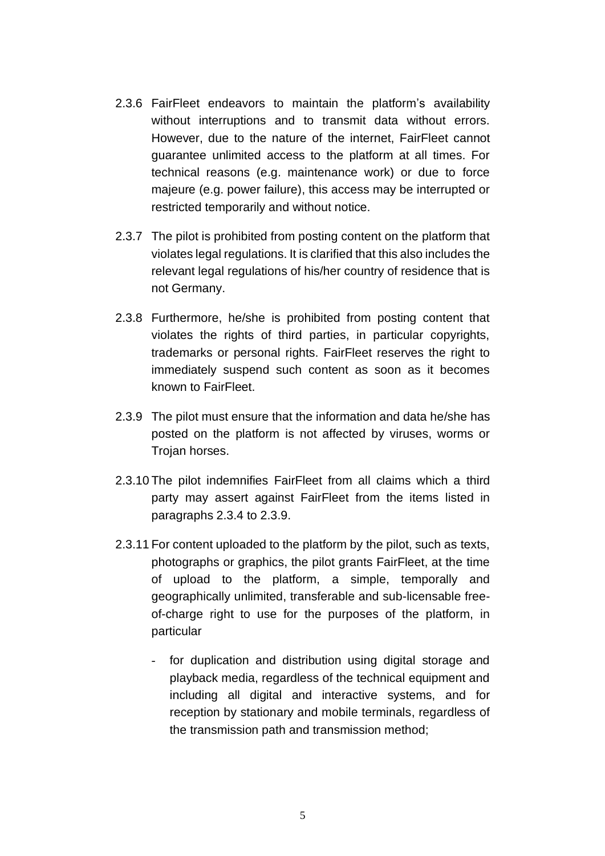- 2.3.6 FairFleet endeavors to maintain the platform's availability without interruptions and to transmit data without errors. However, due to the nature of the internet, FairFleet cannot guarantee unlimited access to the platform at all times. For technical reasons (e.g. maintenance work) or due to force majeure (e.g. power failure), this access may be interrupted or restricted temporarily and without notice.
- <span id="page-4-1"></span>2.3.7 The pilot is prohibited from posting content on the platform that violates legal regulations. It is clarified that this also includes the relevant legal regulations of his/her country of residence that is not Germany.
- 2.3.8 Furthermore, he/she is prohibited from posting content that violates the rights of third parties, in particular copyrights, trademarks or personal rights. FairFleet reserves the right to immediately suspend such content as soon as it becomes known to FairFleet.
- <span id="page-4-0"></span>2.3.9 The pilot must ensure that the information and data he/she has posted on the platform is not affected by viruses, worms or Trojan horses.
- 2.3.10 The pilot indemnifies FairFleet from all claims which a third party may assert against FairFleet from the items listed in paragraphs [2.3.4](#page-3-0) to [2.3.9.](#page-4-0)
- 2.3.11 For content uploaded to the platform by the pilot, such as texts, photographs or graphics, the pilot grants FairFleet, at the time of upload to the platform, a simple, temporally and geographically unlimited, transferable and sub-licensable freeof-charge right to use for the purposes of the platform, in particular
	- for duplication and distribution using digital storage and playback media, regardless of the technical equipment and including all digital and interactive systems, and for reception by stationary and mobile terminals, regardless of the transmission path and transmission method;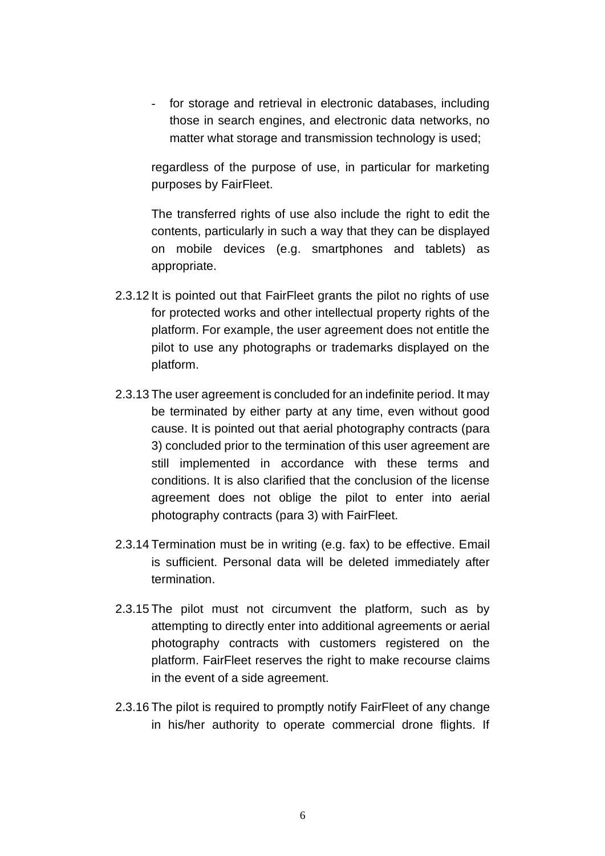- for storage and retrieval in electronic databases, including those in search engines, and electronic data networks, no matter what storage and transmission technology is used;

regardless of the purpose of use, in particular for marketing purposes by FairFleet.

The transferred rights of use also include the right to edit the contents, particularly in such a way that they can be displayed on mobile devices (e.g. smartphones and tablets) as appropriate.

- 2.3.12 It is pointed out that FairFleet grants the pilot no rights of use for protected works and other intellectual property rights of the platform. For example, the user agreement does not entitle the pilot to use any photographs or trademarks displayed on the platform.
- 2.3.13 The user agreement is concluded for an indefinite period. It may be terminated by either party at any time, even without good cause. It is pointed out that aerial photography contracts (para [3\)](#page-6-1) concluded prior to the termination of this user agreement are still implemented in accordance with these terms and conditions. It is also clarified that the conclusion of the license agreement does not oblige the pilot to enter into aerial photography contracts (para [3\)](#page-6-1) with FairFleet.
- 2.3.14 Termination must be in writing (e.g. fax) to be effective. Email is sufficient. Personal data will be deleted immediately after termination.
- <span id="page-5-0"></span>2.3.15 The pilot must not circumvent the platform, such as by attempting to directly enter into additional agreements or aerial photography contracts with customers registered on the platform. FairFleet reserves the right to make recourse claims in the event of a side agreement.
- 2.3.16 The pilot is required to promptly notify FairFleet of any change in his/her authority to operate commercial drone flights. If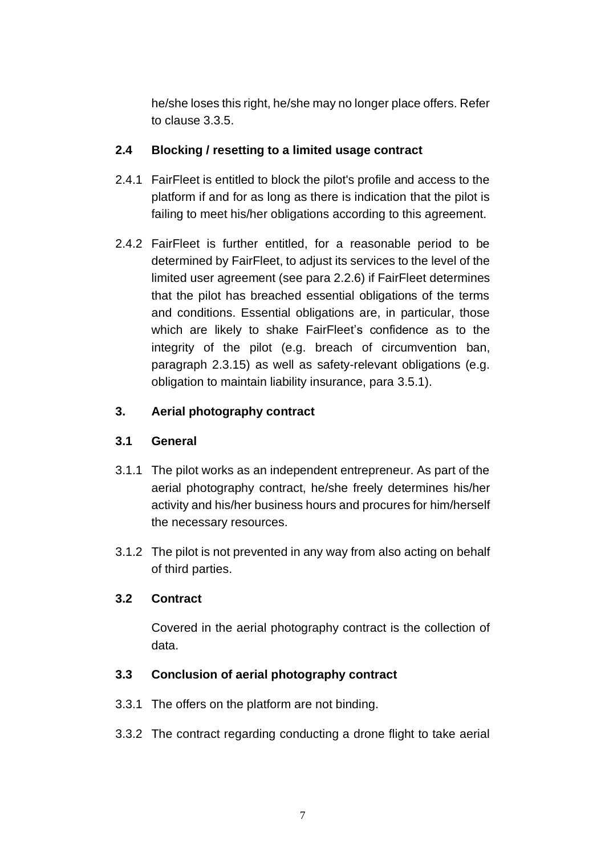he/she loses this right, he/she may no longer place offers. Refer to clause [3.3.5.](#page-7-0)

### **2.4 Blocking / resetting to a limited usage contract**

- 2.4.1 FairFleet is entitled to block the pilot's profile and access to the platform if and for as long as there is indication that the pilot is failing to meet his/her obligations according to this agreement.
- 2.4.2 FairFleet is further entitled, for a reasonable period to be determined by FairFleet, to adjust its services to the level of the limited user agreement (see para [2.2.6\)](#page-2-0) if FairFleet determines that the pilot has breached essential obligations of the terms and conditions. Essential obligations are, in particular, those which are likely to shake FairFleet's confidence as to the integrity of the pilot (e.g. breach of circumvention ban, paragraph [2.3.15\)](#page-5-0) as well as safety-relevant obligations (e.g. obligation to maintain liability insurance, para [3.5.1\)](#page-8-0).

# <span id="page-6-1"></span>**3. Aerial photography contract**

### **3.1 General**

- 3.1.1 The pilot works as an independent entrepreneur. As part of the aerial photography contract, he/she freely determines his/her activity and his/her business hours and procures for him/herself the necessary resources.
- 3.1.2 The pilot is not prevented in any way from also acting on behalf of third parties.

### <span id="page-6-2"></span>**3.2 Contract**

Covered in the aerial photography contract is the collection of data.

### <span id="page-6-0"></span>**3.3 Conclusion of aerial photography contract**

- 3.3.1 The offers on the platform are not binding.
- 3.3.2 The contract regarding conducting a drone flight to take aerial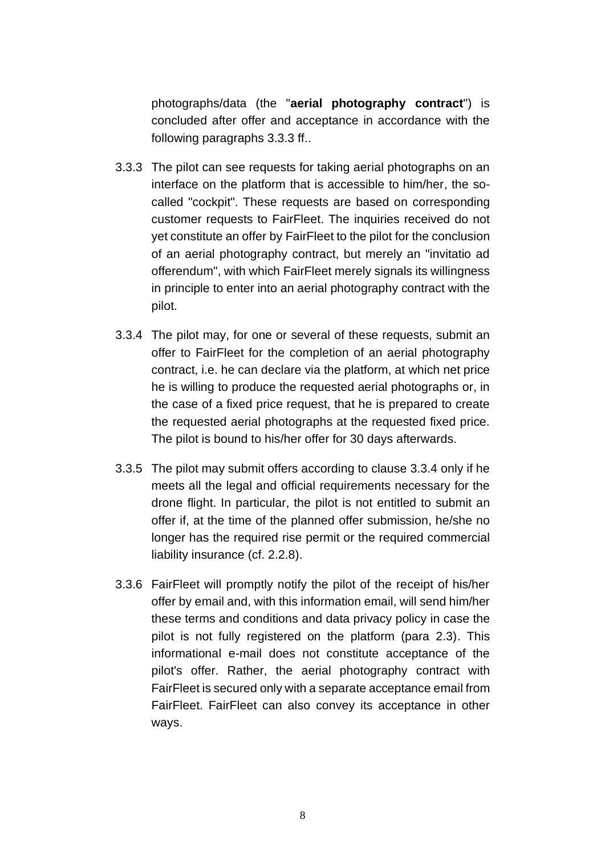photographs/data (the "**aerial photography contract**") is concluded after offer and acceptance in accordance with the following paragraphs [3.3.3](#page-7-1) ff..

- <span id="page-7-1"></span>3.3.3 The pilot can see requests for taking aerial photographs on an interface on the platform that is accessible to him/her, the socalled "cockpit". These requests are based on corresponding customer requests to FairFleet. The inquiries received do not yet constitute an offer by FairFleet to the pilot for the conclusion of an aerial photography contract, but merely an "invitatio ad offerendum", with which FairFleet merely signals its willingness in principle to enter into an aerial photography contract with the pilot.
- <span id="page-7-2"></span>3.3.4 The pilot may, for one or several of these requests, submit an offer to FairFleet for the completion of an aerial photography contract, i.e. he can declare via the platform, at which net price he is willing to produce the requested aerial photographs or, in the case of a fixed price request, that he is prepared to create the requested aerial photographs at the requested fixed price. The pilot is bound to his/her offer for 30 days afterwards.
- <span id="page-7-0"></span>3.3.5 The pilot may submit offers according to clause [3.3.4](#page-7-2) only if he meets all the legal and official requirements necessary for the drone flight. In particular, the pilot is not entitled to submit an offer if, at the time of the planned offer submission, he/she no longer has the required rise permit or the required commercial liability insurance (cf. [2.2.8\)](#page-2-2).
- <span id="page-7-3"></span>3.3.6 FairFleet will promptly notify the pilot of the receipt of his/her offer by email and, with this information email, will send him/her these terms and conditions and data privacy policy in case the pilot is not fully registered on the platform (para 2.3). This informational e-mail does not constitute acceptance of the pilot's offer. Rather, the aerial photography contract with FairFleet is secured only with a separate acceptance email from FairFleet. FairFleet can also convey its acceptance in other ways.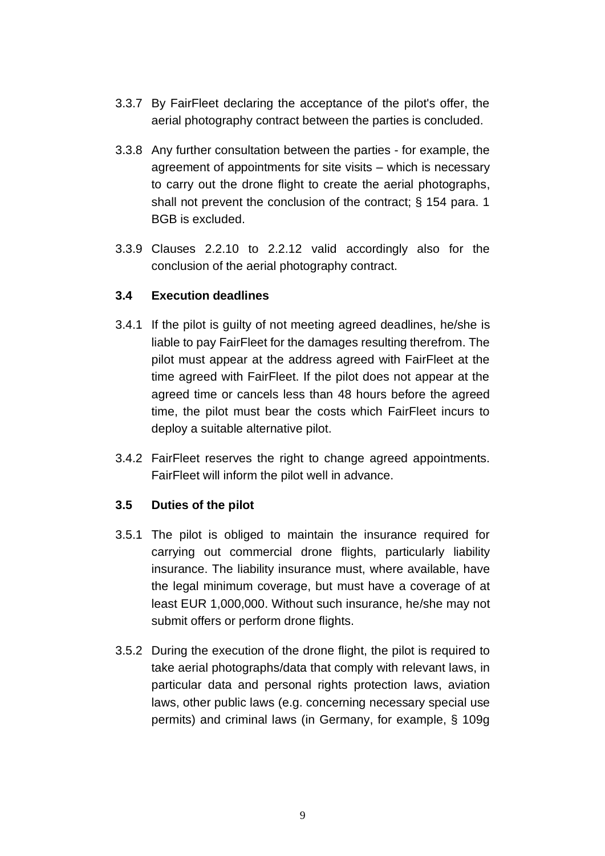- 3.3.7 By FairFleet declaring the acceptance of the pilot's offer, the aerial photography contract between the parties is concluded.
- 3.3.8 Any further consultation between the parties for example, the agreement of appointments for site visits – which is necessary to carry out the drone flight to create the aerial photographs, shall not prevent the conclusion of the contract; § 154 para. 1 BGB is excluded.
- 3.3.9 Clauses [2.2.10](#page-3-1) to [2.2.12](#page-3-2) valid accordingly also for the conclusion of the aerial photography contract.

### **3.4 Execution deadlines**

- 3.4.1 If the pilot is guilty of not meeting agreed deadlines, he/she is liable to pay FairFleet for the damages resulting therefrom. The pilot must appear at the address agreed with FairFleet at the time agreed with FairFleet. If the pilot does not appear at the agreed time or cancels less than 48 hours before the agreed time, the pilot must bear the costs which FairFleet incurs to deploy a suitable alternative pilot.
- 3.4.2 FairFleet reserves the right to change agreed appointments. FairFleet will inform the pilot well in advance.

### **3.5 Duties of the pilot**

- <span id="page-8-0"></span>3.5.1 The pilot is obliged to maintain the insurance required for carrying out commercial drone flights, particularly liability insurance. The liability insurance must, where available, have the legal minimum coverage, but must have a coverage of at least EUR 1,000,000. Without such insurance, he/she may not submit offers or perform drone flights.
- 3.5.2 During the execution of the drone flight, the pilot is required to take aerial photographs/data that comply with relevant laws, in particular data and personal rights protection laws, aviation laws, other public laws (e.g. concerning necessary special use permits) and criminal laws (in Germany, for example, § 109g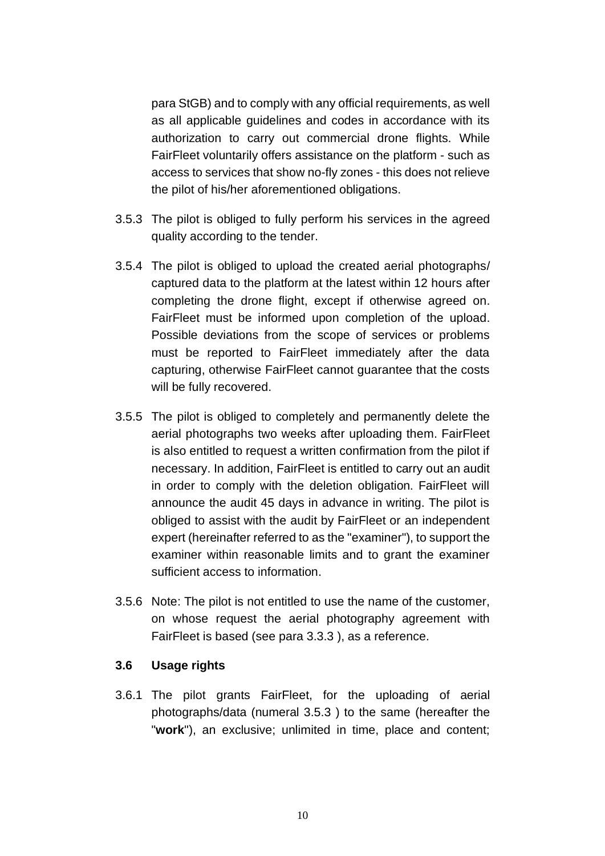para StGB) and to comply with any official requirements, as well as all applicable guidelines and codes in accordance with its authorization to carry out commercial drone flights. While FairFleet voluntarily offers assistance on the platform - such as access to services that show no-fly zones - this does not relieve the pilot of his/her aforementioned obligations.

- <span id="page-9-0"></span>3.5.3 The pilot is obliged to fully perform his services in the agreed quality according to the tender.
- 3.5.4 The pilot is obliged to upload the created aerial photographs/ captured data to the platform at the latest within 12 hours after completing the drone flight, except if otherwise agreed on. FairFleet must be informed upon completion of the upload. Possible deviations from the scope of services or problems must be reported to FairFleet immediately after the data capturing, otherwise FairFleet cannot guarantee that the costs will be fully recovered.
- 3.5.5 The pilot is obliged to completely and permanently delete the aerial photographs two weeks after uploading them. FairFleet is also entitled to request a written confirmation from the pilot if necessary. In addition, FairFleet is entitled to carry out an audit in order to comply with the deletion obligation. FairFleet will announce the audit 45 days in advance in writing. The pilot is obliged to assist with the audit by FairFleet or an independent expert (hereinafter referred to as the "examiner"), to support the examiner within reasonable limits and to grant the examiner sufficient access to information.
- 3.5.6 Note: The pilot is not entitled to use the name of the customer, on whose request the aerial photography agreement with FairFleet is based (see para [3.3.3](#page-7-1) ), as a reference.

#### **3.6 Usage rights**

3.6.1 The pilot grants FairFleet, for the uploading of aerial photographs/data (numeral [3.5.3](#page-9-0) ) to the same (hereafter the "**work**"), an exclusive; unlimited in time, place and content;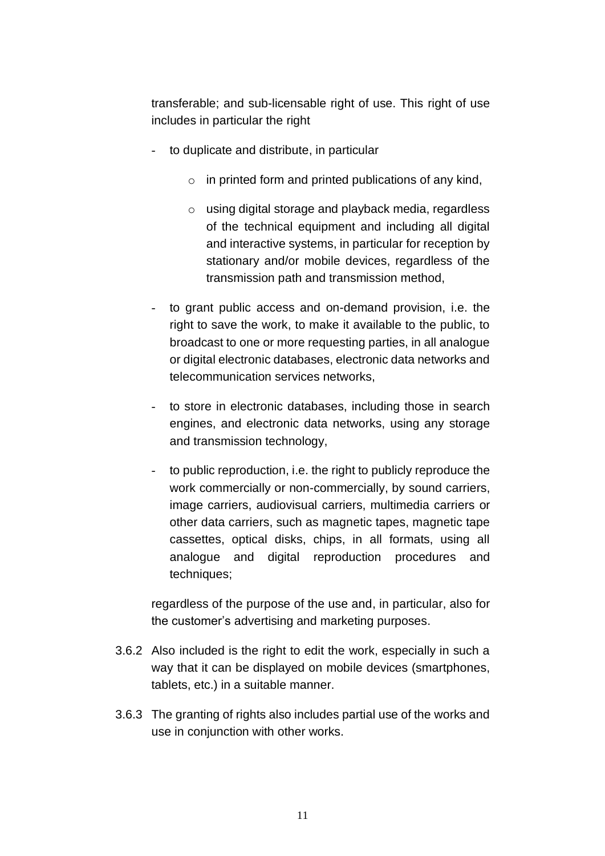transferable; and sub-licensable right of use. This right of use includes in particular the right

- to duplicate and distribute, in particular
	- $\circ$  in printed form and printed publications of any kind,
	- o using digital storage and playback media, regardless of the technical equipment and including all digital and interactive systems, in particular for reception by stationary and/or mobile devices, regardless of the transmission path and transmission method,
- to grant public access and on-demand provision, i.e. the right to save the work, to make it available to the public, to broadcast to one or more requesting parties, in all analogue or digital electronic databases, electronic data networks and telecommunication services networks,
- to store in electronic databases, including those in search engines, and electronic data networks, using any storage and transmission technology,
- to public reproduction, i.e. the right to publicly reproduce the work commercially or non-commercially, by sound carriers, image carriers, audiovisual carriers, multimedia carriers or other data carriers, such as magnetic tapes, magnetic tape cassettes, optical disks, chips, in all formats, using all analogue and digital reproduction procedures and techniques;

regardless of the purpose of the use and, in particular, also for the customer's advertising and marketing purposes.

- 3.6.2 Also included is the right to edit the work, especially in such a way that it can be displayed on mobile devices (smartphones, tablets, etc.) in a suitable manner.
- 3.6.3 The granting of rights also includes partial use of the works and use in conjunction with other works.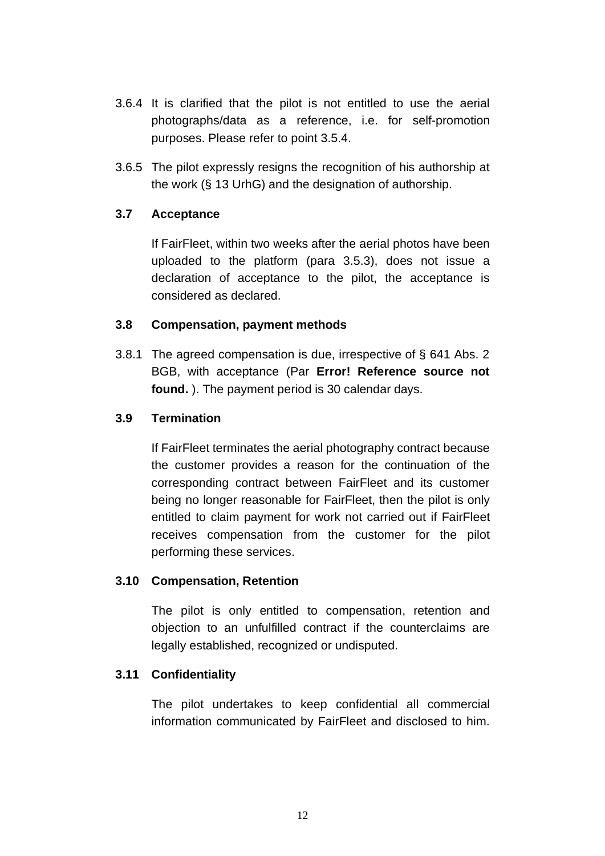- 3.6.4 It is clarified that the pilot is not entitled to use the aerial photographs/data as a reference, i.e. for self-promotion purposes. Please refer to point 3.5.4.
- 3.6.5 The pilot expressly resigns the recognition of his authorship at the work (§ 13 UrhG) and the designation of authorship.

### **3.7 Acceptance**

If FairFleet, within two weeks after the aerial photos have been uploaded to the platform (para [3.5.3\)](#page-9-0), does not issue a declaration of acceptance to the pilot, the acceptance is considered as declared.

#### **3.8 Compensation, payment methods**

3.8.1 The agreed compensation is due, irrespective of § 641 Abs. 2 BGB, with acceptance (Par **Error! Reference source not found.** ). The payment period is 30 calendar days.

#### **3.9 Termination**

If FairFleet terminates the aerial photography contract because the customer provides a reason for the continuation of the corresponding contract between FairFleet and its customer being no longer reasonable for FairFleet, then the pilot is only entitled to claim payment for work not carried out if FairFleet receives compensation from the customer for the pilot performing these services.

#### **3.10 Compensation, Retention**

The pilot is only entitled to compensation, retention and objection to an unfulfilled contract if the counterclaims are legally established, recognized or undisputed.

#### **3.11 Confidentiality**

The pilot undertakes to keep confidential all commercial information communicated by FairFleet and disclosed to him.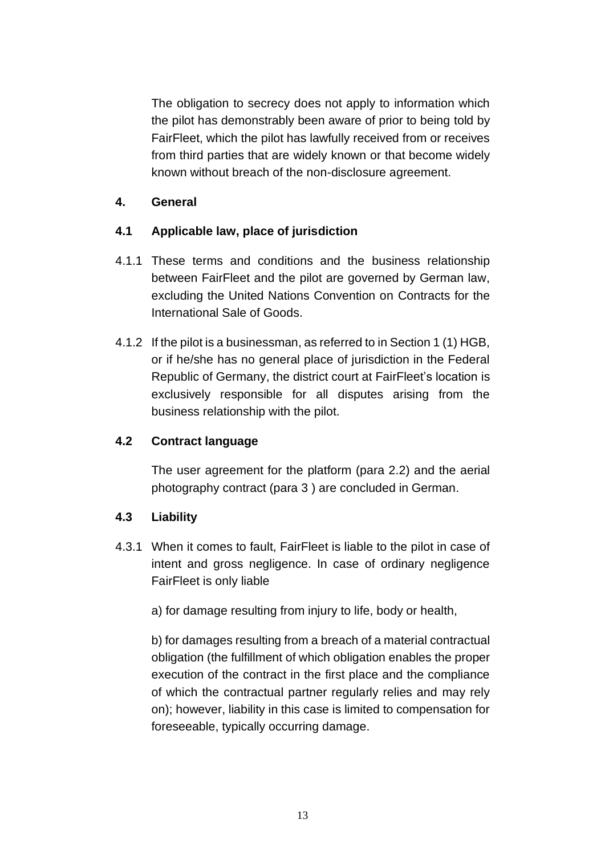The obligation to secrecy does not apply to information which the pilot has demonstrably been aware of prior to being told by FairFleet, which the pilot has lawfully received from or receives from third parties that are widely known or that become widely known without breach of the non-disclosure agreement.

### **4. General**

# **4.1 Applicable law, place of jurisdiction**

- 4.1.1 These terms and conditions and the business relationship between FairFleet and the pilot are governed by German law, excluding the United Nations Convention on Contracts for the International Sale of Goods.
- 4.1.2 If the pilot is a businessman, as referred to in Section 1 (1) HGB, or if he/she has no general place of jurisdiction in the Federal Republic of Germany, the district court at FairFleet's location is exclusively responsible for all disputes arising from the business relationship with the pilot.

### **4.2 Contract language**

The user agreement for the platform (para [2.2\)](#page-1-1) and the aerial photography contract (para [3](#page-6-1) ) are concluded in German.

### **4.3 Liability**

- <span id="page-12-0"></span>4.3.1 When it comes to fault, FairFleet is liable to the pilot in case of intent and gross negligence. In case of ordinary negligence FairFleet is only liable
	- a) for damage resulting from injury to life, body or health,

b) for damages resulting from a breach of a material contractual obligation (the fulfillment of which obligation enables the proper execution of the contract in the first place and the compliance of which the contractual partner regularly relies and may rely on); however, liability in this case is limited to compensation for foreseeable, typically occurring damage.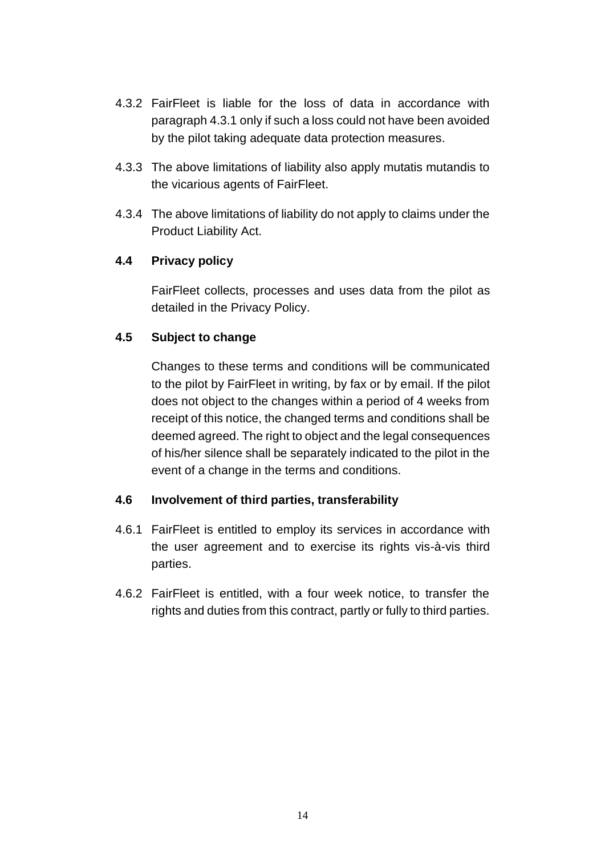- 4.3.2 FairFleet is liable for the loss of data in accordance with paragraph [4.3.1](#page-12-0) only if such a loss could not have been avoided by the pilot taking adequate data protection measures.
- 4.3.3 The above limitations of liability also apply mutatis mutandis to the vicarious agents of FairFleet.
- 4.3.4 The above limitations of liability do not apply to claims under the Product Liability Act.

### **4.4 Privacy policy**

FairFleet collects, processes and uses data from the pilot as detailed in the Privacy Policy.

### **4.5 Subject to change**

Changes to these terms and conditions will be communicated to the pilot by FairFleet in writing, by fax or by email. If the pilot does not object to the changes within a period of 4 weeks from receipt of this notice, the changed terms and conditions shall be deemed agreed. The right to object and the legal consequences of his/her silence shall be separately indicated to the pilot in the event of a change in the terms and conditions.

### **4.6 Involvement of third parties, transferability**

- 4.6.1 FairFleet is entitled to employ its services in accordance with the user agreement and to exercise its rights vis-à-vis third parties.
- 4.6.2 FairFleet is entitled, with a four week notice, to transfer the rights and duties from this contract, partly or fully to third parties.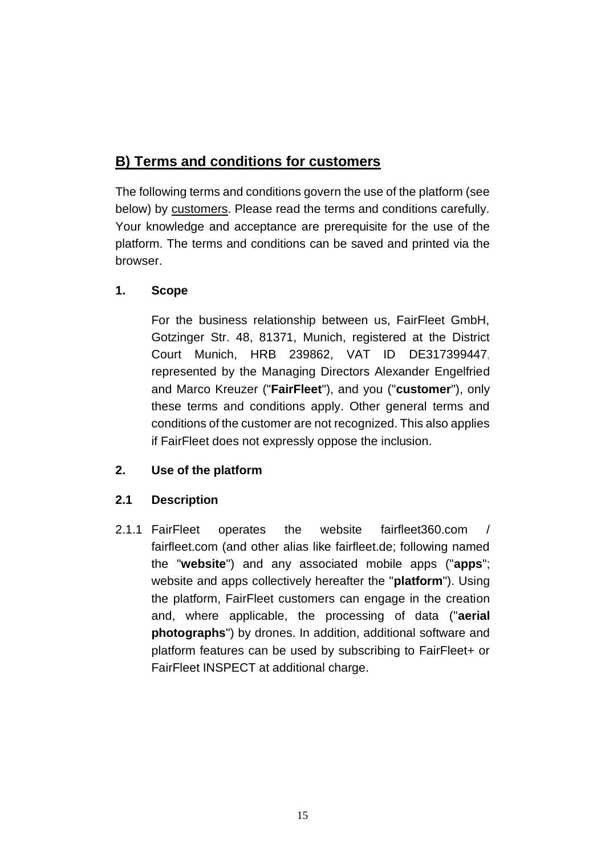# **B) Terms and conditions for customers**

The following terms and conditions govern the use of the platform (see below) by customers. Please read the terms and conditions carefully. Your knowledge and acceptance are prerequisite for the use of the platform. The terms and conditions can be saved and printed via the browser.

# **1. Scope**

For the business relationship between us, FairFleet GmbH, Gotzinger Str. 48, 81371, Munich, registered at the District Court Munich, HRB 239862, VAT ID DE317399447, represented by the Managing Directors Alexander Engelfried and Marco Kreuzer ("**FairFleet**"), and you ("**customer**"), only these terms and conditions apply. Other general terms and conditions of the customer are not recognized. This also applies if FairFleet does not expressly oppose the inclusion.

# **2. Use of the platform**

# **2.1 Description**

<span id="page-14-0"></span>2.1.1 FairFleet operates the website fairfleet360.com / fairfleet.com (and other alias like fairfleet.de; following named the "**website**") and any associated mobile apps ("**apps**"; website and apps collectively hereafter the "**platform**"). Using the platform, FairFleet customers can engage in the creation and, where applicable, the processing of data ("**aerial photographs**") by drones. In addition, additional software and platform features can be used by subscribing to FairFleet+ or FairFleet INSPECT at additional charge.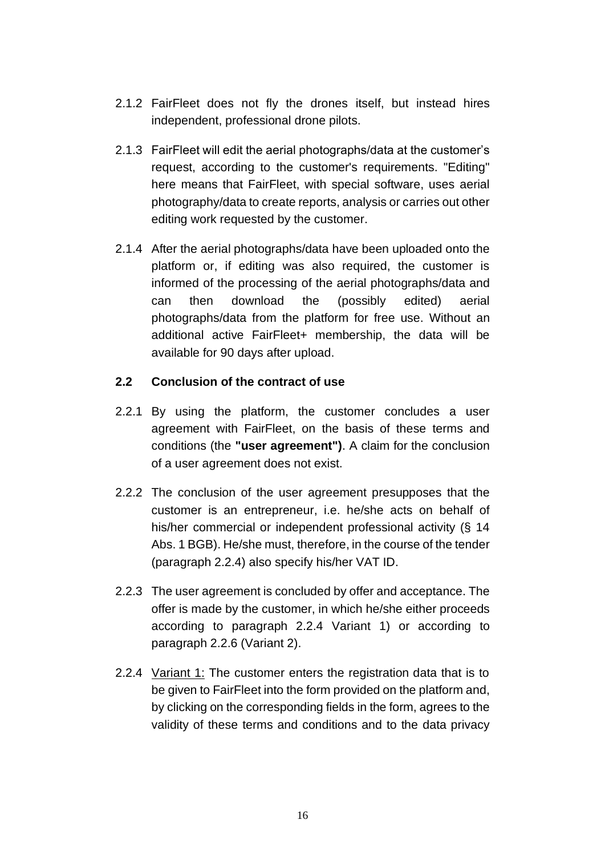- 2.1.2 FairFleet does not fly the drones itself, but instead hires independent, professional drone pilots.
- 2.1.3 FairFleet will edit the aerial photographs/data at the customer's request, according to the customer's requirements. "Editing" here means that FairFleet, with special software, uses aerial photography/data to create reports, analysis or carries out other editing work requested by the customer.
- 2.1.4 After the aerial photographs/data have been uploaded onto the platform or, if editing was also required, the customer is informed of the processing of the aerial photographs/data and can then download the (possibly edited) aerial photographs/data from the platform for free use. Without an additional active FairFleet+ membership, the data will be available for 90 days after upload.

#### **2.2 Conclusion of the contract of use**

- 2.2.1 By using the platform, the customer concludes a user agreement with FairFleet, on the basis of these terms and conditions (the **"user agreement")**. A claim for the conclusion of a user agreement does not exist.
- 2.2.2 The conclusion of the user agreement presupposes that the customer is an entrepreneur, i.e. he/she acts on behalf of his/her commercial or independent professional activity (§ 14 Abs. 1 BGB). He/she must, therefore, in the course of the tender (paragraph [2.2.4\)](#page-1-0) also specify his/her VAT ID.
- 2.2.3 The user agreement is concluded by offer and acceptance. The offer is made by the customer, in which he/she either proceeds according to paragraph [2.2.4](#page-15-0) Variant 1) or according to paragraph [2.2.6](#page-16-0) (Variant 2).
- <span id="page-15-0"></span>2.2.4 Variant 1: The customer enters the registration data that is to be given to FairFleet into the form provided on the platform and, by clicking on the corresponding fields in the form, agrees to the validity of these terms and conditions and to the data privacy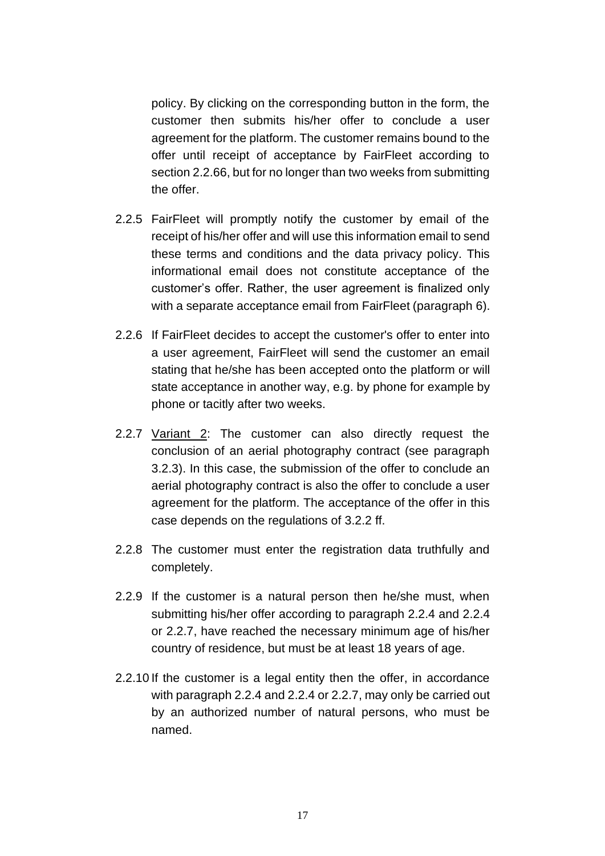policy. By clicking on the corresponding button in the form, the customer then submits his/her offer to conclude a user agreement for the platform. The customer remains bound to the offer until receipt of acceptance by FairFleet according to sectio[n 2.2.66](#page-16-1), but for no longer than two weeks from submitting the offer.

- 2.2.5 FairFleet will promptly notify the customer by email of the receipt of his/her offer and will use this information email to send these terms and conditions and the data privacy policy. This informational email does not constitute acceptance of the customer's offer. Rather, the user agreement is finalized only with a separate acceptance email from FairFleet (paragraph 6).
- <span id="page-16-1"></span><span id="page-16-0"></span>2.2.6 If FairFleet decides to accept the customer's offer to enter into a user agreement, FairFleet will send the customer an email stating that he/she has been accepted onto the platform or will state acceptance in another way, e.g. by phone for example by phone or tacitly after two weeks.
- 2.2.7 Variant 2: The customer can also directly request the conclusion of an aerial photography contract (see paragraph [3.2.3\)](#page-20-0). In this case, the submission of the offer to conclude an aerial photography contract is also the offer to conclude a user agreement for the platform. The acceptance of the offer in this case depends on the regulations of [3.2.2](#page-20-1) ff.
- 2.2.8 The customer must enter the registration data truthfully and completely.
- 2.2.9 If the customer is a natural person then he/she must, when submitting his/her offer according to paragraph [2.2.4](#page-1-0) and 2.2.4 or 2.2.7, have reached the necessary minimum age of his/her country of residence, but must be at least 18 years of age.
- 2.2.10 If the customer is a legal entity then the offer, in accordance with paragrap[h 2.2.4](#page-1-0) and 2.2.4 or 2.2.7, may only be carried out by an authorized number of natural persons, who must be named.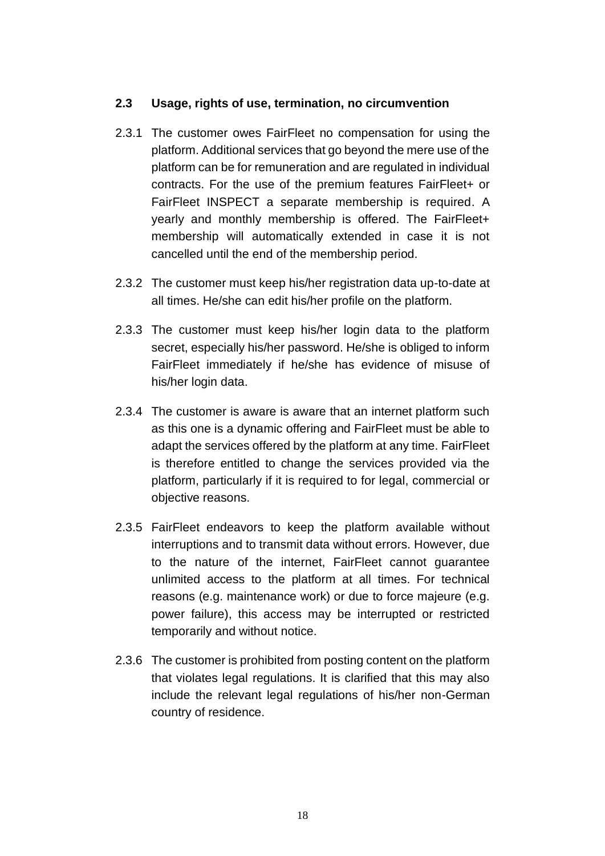#### **2.3 Usage, rights of use, termination, no circumvention**

- 2.3.1 The customer owes FairFleet no compensation for using the platform. Additional services that go beyond the mere use of the platform can be for remuneration and are regulated in individual contracts. For the use of the premium features FairFleet+ or FairFleet INSPECT a separate membership is required. A yearly and monthly membership is offered. The FairFleet+ membership will automatically extended in case it is not cancelled until the end of the membership period.
- 2.3.2 The customer must keep his/her registration data up-to-date at all times. He/she can edit his/her profile on the platform.
- 2.3.3 The customer must keep his/her login data to the platform secret, especially his/her password. He/she is obliged to inform FairFleet immediately if he/she has evidence of misuse of his/her login data.
- 2.3.4 The customer is aware is aware that an internet platform such as this one is a dynamic offering and FairFleet must be able to adapt the services offered by the platform at any time. FairFleet is therefore entitled to change the services provided via the platform, particularly if it is required to for legal, commercial or objective reasons.
- 2.3.5 FairFleet endeavors to keep the platform available without interruptions and to transmit data without errors. However, due to the nature of the internet, FairFleet cannot guarantee unlimited access to the platform at all times. For technical reasons (e.g. maintenance work) or due to force majeure (e.g. power failure), this access may be interrupted or restricted temporarily and without notice.
- 2.3.6 The customer is prohibited from posting content on the platform that violates legal regulations. It is clarified that this may also include the relevant legal regulations of his/her non-German country of residence.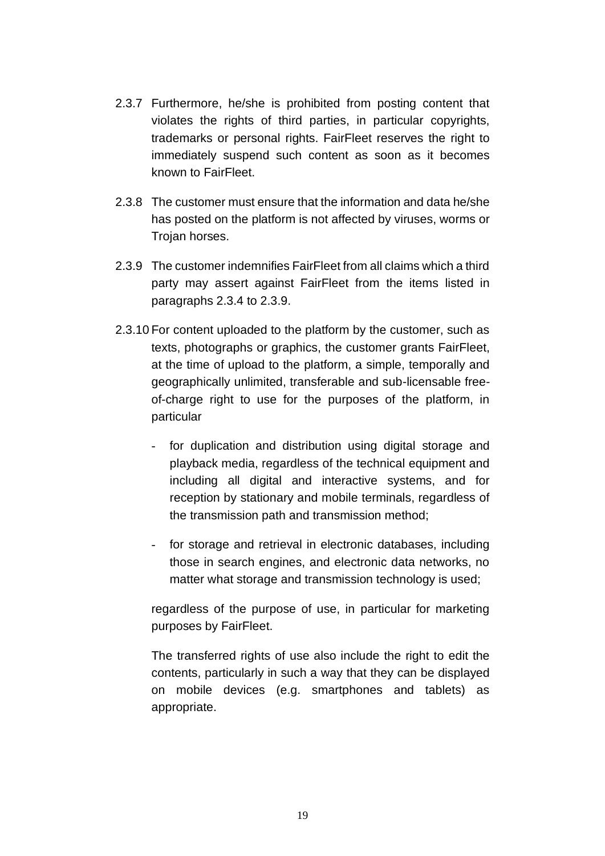- 2.3.7 Furthermore, he/she is prohibited from posting content that violates the rights of third parties, in particular copyrights, trademarks or personal rights. FairFleet reserves the right to immediately suspend such content as soon as it becomes known to FairFleet.
- 2.3.8 The customer must ensure that the information and data he/she has posted on the platform is not affected by viruses, worms or Trojan horses.
- 2.3.9 The customer indemnifies FairFleet from all claims which a third party may assert against FairFleet from the items listed in paragraphs [2.3.4](#page-3-0) to [2.3.9.](#page-4-0)
- 2.3.10 For content uploaded to the platform by the customer, such as texts, photographs or graphics, the customer grants FairFleet, at the time of upload to the platform, a simple, temporally and geographically unlimited, transferable and sub-licensable freeof-charge right to use for the purposes of the platform, in particular
	- for duplication and distribution using digital storage and playback media, regardless of the technical equipment and including all digital and interactive systems, and for reception by stationary and mobile terminals, regardless of the transmission path and transmission method;
	- for storage and retrieval in electronic databases, including those in search engines, and electronic data networks, no matter what storage and transmission technology is used;

regardless of the purpose of use, in particular for marketing purposes by FairFleet.

The transferred rights of use also include the right to edit the contents, particularly in such a way that they can be displayed on mobile devices (e.g. smartphones and tablets) as appropriate.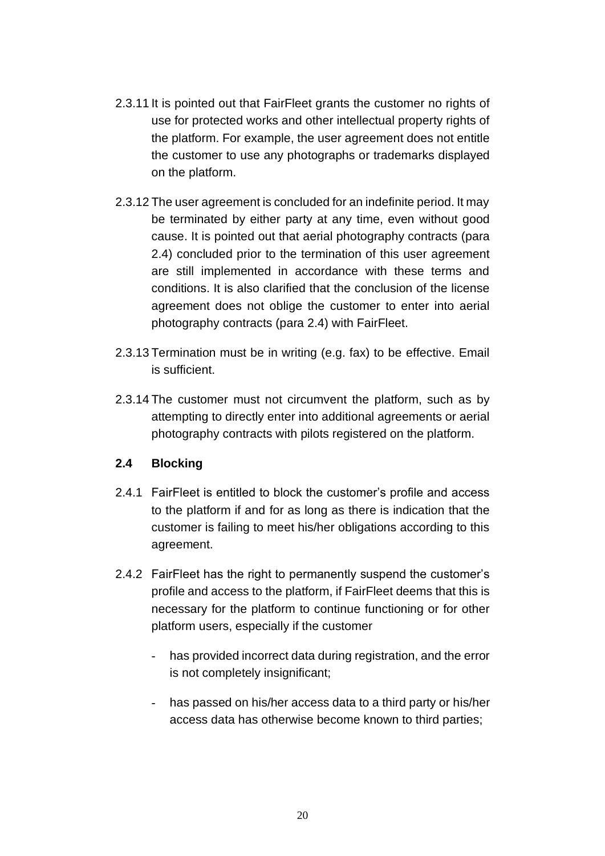- 2.3.11 It is pointed out that FairFleet grants the customer no rights of use for protected works and other intellectual property rights of the platform. For example, the user agreement does not entitle the customer to use any photographs or trademarks displayed on the platform.
- 2.3.12 The user agreement is concluded for an indefinite period. It may be terminated by either party at any time, even without good cause. It is pointed out that aerial photography contracts (para [2.4\)](#page-19-0) concluded prior to the termination of this user agreement are still implemented in accordance with these terms and conditions. It is also clarified that the conclusion of the license agreement does not oblige the customer to enter into aerial photography contracts (para [2.4\)](#page-19-0) with FairFleet.
- 2.3.13 Termination must be in writing (e.g. fax) to be effective. Email is sufficient.
- 2.3.14 The customer must not circumvent the platform, such as by attempting to directly enter into additional agreements or aerial photography contracts with pilots registered on the platform.

### <span id="page-19-0"></span>**2.4 Blocking**

- 2.4.1 FairFleet is entitled to block the customer's profile and access to the platform if and for as long as there is indication that the customer is failing to meet his/her obligations according to this agreement.
- 2.4.2 FairFleet has the right to permanently suspend the customer's profile and access to the platform, if FairFleet deems that this is necessary for the platform to continue functioning or for other platform users, especially if the customer
	- has provided incorrect data during registration, and the error is not completely insignificant;
	- has passed on his/her access data to a third party or his/her access data has otherwise become known to third parties;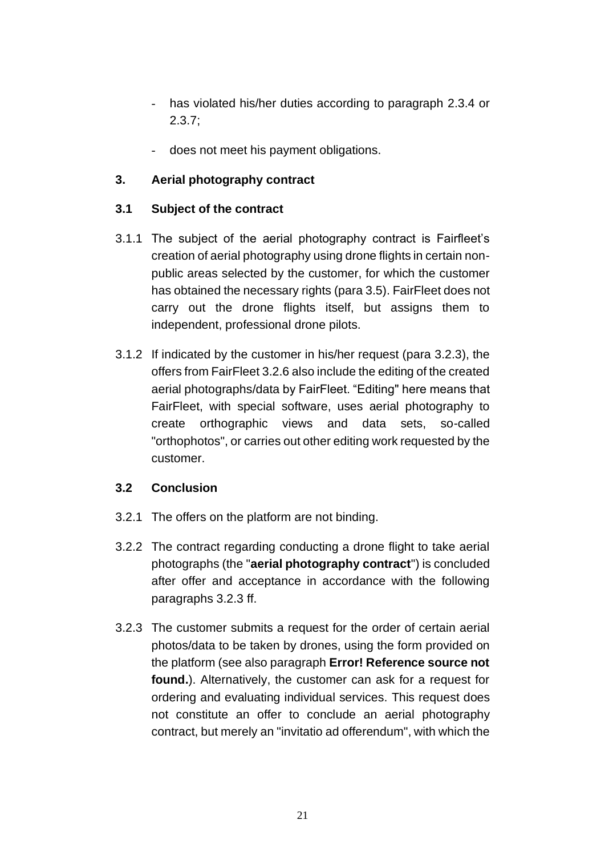- has violated his/her duties according to paragraph [2.3.4](#page-3-0) or [2.3.7;](#page-4-1)
- does not meet his payment obligations.

# **3. Aerial photography contract**

### **3.1 Subject of the contract**

- 3.1.1 The subject of the aerial photography contract is Fairfleet's creation of aerial photography using drone flights in certain nonpublic areas selected by the customer, for which the customer has obtained the necessary rights (par[a 3.5\)](#page-23-0). FairFleet does not carry out the drone flights itself, but assigns them to independent, professional drone pilots.
- 3.1.2 If indicated by the customer in his/her request (para [3.2.3\)](#page-20-0), the offers from FairFleet [3.2.6](#page-21-0) also include the editing of the created aerial photographs/data by FairFleet. "Editing" here means that FairFleet, with special software, uses aerial photography to create orthographic views and data sets, so-called "orthophotos", or carries out other editing work requested by the customer.

### **3.2 Conclusion**

- 3.2.1 The offers on the platform are not binding.
- <span id="page-20-1"></span>3.2.2 The contract regarding conducting a drone flight to take aerial photographs (the "**aerial photography contract**") is concluded after offer and acceptance in accordance with the following paragraphs [3.2.3](#page-20-0) ff.
- <span id="page-20-0"></span>3.2.3 The customer submits a request for the order of certain aerial photos/data to be taken by drones, using the form provided on the platform (see also paragraph **Error! Reference source not found.**). Alternatively, the customer can ask for a request for ordering and evaluating individual services. This request does not constitute an offer to conclude an aerial photography contract, but merely an "invitatio ad offerendum", with which the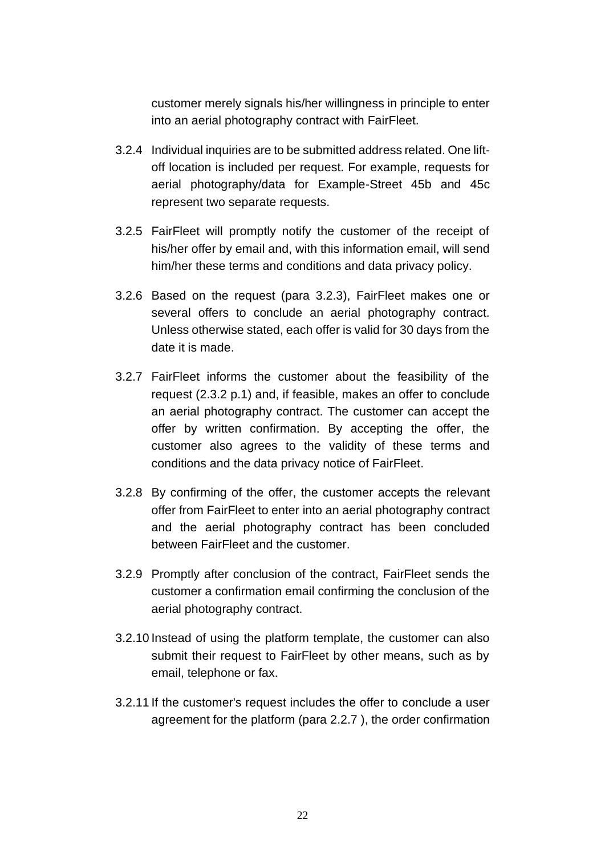customer merely signals his/her willingness in principle to enter into an aerial photography contract with FairFleet.

- 3.2.4 Individual inquiries are to be submitted address related. One liftoff location is included per request. For example, requests for aerial photography/data for Example-Street 45b and 45c represent two separate requests.
- 3.2.5 FairFleet will promptly notify the customer of the receipt of his/her offer by email and, with this information email, will send him/her these terms and conditions and data privacy policy.
- <span id="page-21-0"></span>3.2.6 Based on the request (para [3.2.3\)](#page-20-0), FairFleet makes one or several offers to conclude an aerial photography contract. Unless otherwise stated, each offer is valid for 30 days from the date it is made.
- 3.2.7 FairFleet informs the customer about the feasibility of the request (2.3.2 p.1) and, if feasible, makes an offer to conclude an aerial photography contract. The customer can accept the offer by written confirmation. By accepting the offer, the customer also agrees to the validity of these terms and conditions and the data privacy notice of FairFleet.
- 3.2.8 By confirming of the offer, the customer accepts the relevant offer from FairFleet to enter into an aerial photography contract and the aerial photography contract has been concluded between FairFleet and the customer.
- 3.2.9 Promptly after conclusion of the contract, FairFleet sends the customer a confirmation email confirming the conclusion of the aerial photography contract.
- 3.2.10 Instead of using the platform template, the customer can also submit their request to FairFleet by other means, such as by email, telephone or fax.
- 3.2.11 If the customer's request includes the offer to conclude a user agreement for the platform (para 2.2.7 ), the order confirmation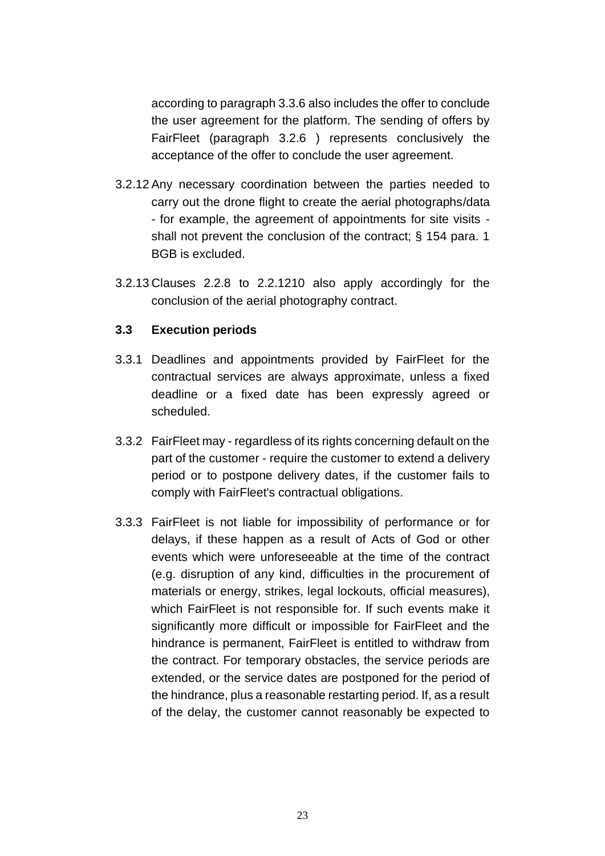according to paragraph [3.3.6](#page-7-3) also includes the offer to conclude the user agreement for the platform. The sending of offers by FairFleet (paragraph [3.2.6](#page-21-0) ) represents conclusively the acceptance of the offer to conclude the user agreement.

- 3.2.12 Any necessary coordination between the parties needed to carry out the drone flight to create the aerial photographs/data - for example, the agreement of appointments for site visits shall not prevent the conclusion of the contract; § 154 para. 1 BGB is excluded.
- 3.2.13 Clauses 2.2.8 to [2.2.121](#page-3-2)0 also apply accordingly for the conclusion of the aerial photography contract.

#### **3.3 Execution periods**

- 3.3.1 Deadlines and appointments provided by FairFleet for the contractual services are always approximate, unless a fixed deadline or a fixed date has been expressly agreed or scheduled.
- 3.3.2 FairFleet may regardless of its rights concerning default on the part of the customer - require the customer to extend a delivery period or to postpone delivery dates, if the customer fails to comply with FairFleet's contractual obligations.
- 3.3.3 FairFleet is not liable for impossibility of performance or for delays, if these happen as a result of Acts of God or other events which were unforeseeable at the time of the contract (e.g. disruption of any kind, difficulties in the procurement of materials or energy, strikes, legal lockouts, official measures), which FairFleet is not responsible for. If such events make it significantly more difficult or impossible for FairFleet and the hindrance is permanent, FairFleet is entitled to withdraw from the contract. For temporary obstacles, the service periods are extended, or the service dates are postponed for the period of the hindrance, plus a reasonable restarting period. If, as a result of the delay, the customer cannot reasonably be expected to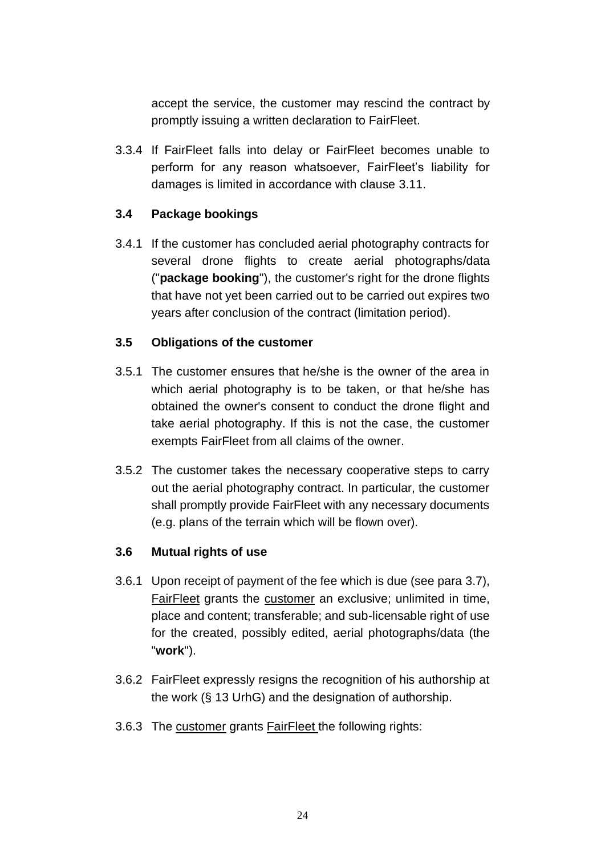accept the service, the customer may rescind the contract by promptly issuing a written declaration to FairFleet.

3.3.4 If FairFleet falls into delay or FairFleet becomes unable to perform for any reason whatsoever, FairFleet's liability for damages is limited in accordance with clause [3.11.](#page-26-0)

### **3.4 Package bookings**

3.4.1 If the customer has concluded aerial photography contracts for several drone flights to create aerial photographs/data ("**package booking**"), the customer's right for the drone flights that have not yet been carried out to be carried out expires two years after conclusion of the contract (limitation period).

### <span id="page-23-0"></span>**3.5 Obligations of the customer**

- 3.5.1 The customer ensures that he/she is the owner of the area in which aerial photography is to be taken, or that he/she has obtained the owner's consent to conduct the drone flight and take aerial photography. If this is not the case, the customer exempts FairFleet from all claims of the owner.
- 3.5.2 The customer takes the necessary cooperative steps to carry out the aerial photography contract. In particular, the customer shall promptly provide FairFleet with any necessary documents (e.g. plans of the terrain which will be flown over).

### **3.6 Mutual rights of use**

- 3.6.1 Upon receipt of payment of the fee which is due (see para [3.7\)](#page-24-0), FairFleet grants the customer an exclusive; unlimited in time, place and content; transferable; and sub-licensable right of use for the created, possibly edited, aerial photographs/data (the "**work**").
- 3.6.2 FairFleet expressly resigns the recognition of his authorship at the work (§ 13 UrhG) and the designation of authorship.
- <span id="page-23-1"></span>3.6.3 The customer grants FairFleet the following rights: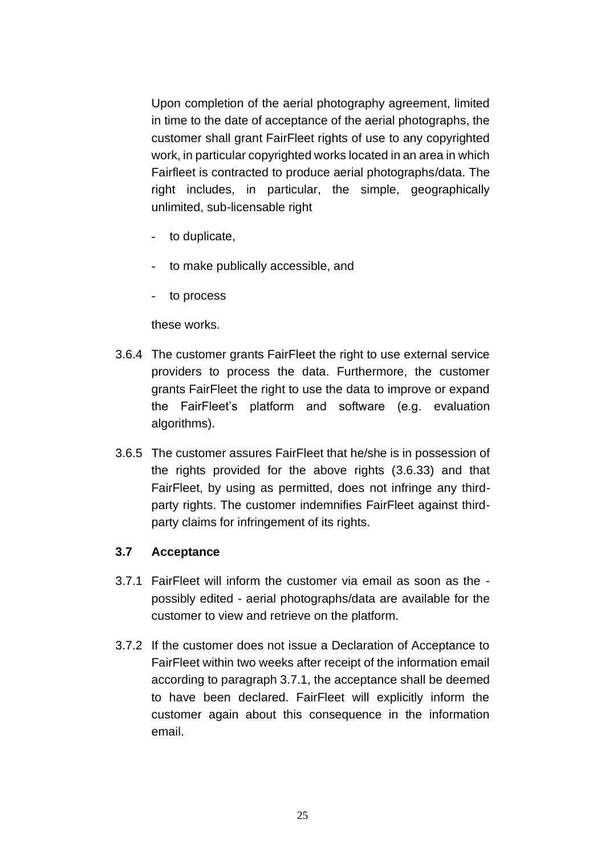Upon completion of the aerial photography agreement, limited in time to the date of acceptance of the aerial photographs, the customer shall grant FairFleet rights of use to any copyrighted work, in particular copyrighted works located in an area in which Fairfleet is contracted to produce aerial photographs/data. The right includes, in particular, the simple, geographically unlimited, sub-licensable right

- to duplicate,
- to make publically accessible, and
- to process

these works.

- 3.6.4 The customer grants FairFleet the right to use external service providers to process the data. Furthermore, the customer grants FairFleet the right to use the data to improve or expand the FairFleet's platform and software (e.g. evaluation algorithms).
- 3.6.5 The customer assures FairFleet that he/she is in possession of the rights provided for the above rights [\(3.6.33](#page-23-1)) and that FairFleet, by using as permitted, does not infringe any thirdparty rights. The customer indemnifies FairFleet against thirdparty claims for infringement of its rights.

#### <span id="page-24-0"></span>**3.7 Acceptance**

- <span id="page-24-1"></span>3.7.1 FairFleet will inform the customer via email as soon as the possibly edited - aerial photographs/data are available for the customer to view and retrieve on the platform.
- 3.7.2 If the customer does not issue a Declaration of Acceptance to FairFleet within two weeks after receipt of the information email according to paragraph [3.7.1,](#page-24-1) the acceptance shall be deemed to have been declared. FairFleet will explicitly inform the customer again about this consequence in the information email.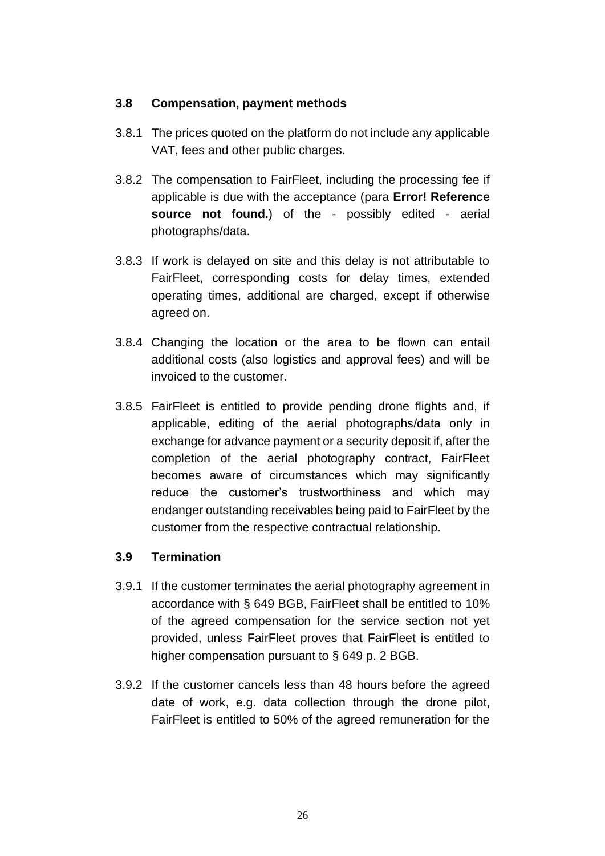### **3.8 Compensation, payment methods**

- 3.8.1 The prices quoted on the platform do not include any applicable VAT, fees and other public charges.
- 3.8.2 The compensation to FairFleet, including the processing fee if applicable is due with the acceptance (para **Error! Reference source not found.**) of the - possibly edited - aerial photographs/data.
- 3.8.3 If work is delayed on site and this delay is not attributable to FairFleet, corresponding costs for delay times, extended operating times, additional are charged, except if otherwise agreed on.
- 3.8.4 Changing the location or the area to be flown can entail additional costs (also logistics and approval fees) and will be invoiced to the customer.
- 3.8.5 FairFleet is entitled to provide pending drone flights and, if applicable, editing of the aerial photographs/data only in exchange for advance payment or a security deposit if, after the completion of the aerial photography contract, FairFleet becomes aware of circumstances which may significantly reduce the customer's trustworthiness and which may endanger outstanding receivables being paid to FairFleet by the customer from the respective contractual relationship.

### **3.9 Termination**

- 3.9.1 If the customer terminates the aerial photography agreement in accordance with § 649 BGB, FairFleet shall be entitled to 10% of the agreed compensation for the service section not yet provided, unless FairFleet proves that FairFleet is entitled to higher compensation pursuant to § 649 p. 2 BGB.
- 3.9.2 If the customer cancels less than 48 hours before the agreed date of work, e.g. data collection through the drone pilot, FairFleet is entitled to 50% of the agreed remuneration for the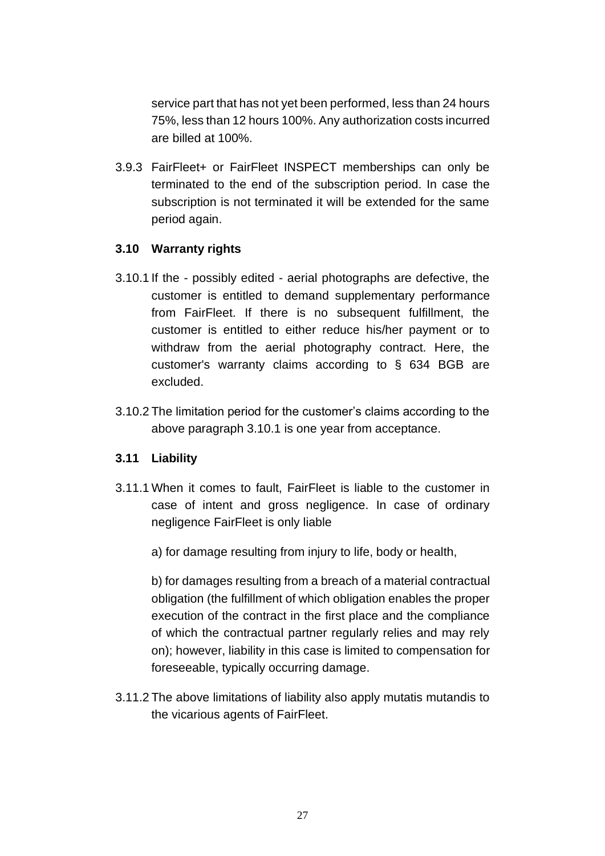service part that has not yet been performed, less than 24 hours 75%, less than 12 hours 100%. Any authorization costs incurred are billed at 100%.

3.9.3 FairFleet+ or FairFleet INSPECT memberships can only be terminated to the end of the subscription period. In case the subscription is not terminated it will be extended for the same period again.

# **3.10 Warranty rights**

- <span id="page-26-1"></span>3.10.1 If the - possibly edited - aerial photographs are defective, the customer is entitled to demand supplementary performance from FairFleet. If there is no subsequent fulfillment, the customer is entitled to either reduce his/her payment or to withdraw from the aerial photography contract. Here, the customer's warranty claims according to § 634 BGB are excluded.
- 3.10.2 The limitation period for the customer's claims according to the above paragraph [3.10.1](#page-26-1) is one year from acceptance.

### <span id="page-26-0"></span>**3.11 Liability**

- 3.11.1 When it comes to fault, FairFleet is liable to the customer in case of intent and gross negligence. In case of ordinary negligence FairFleet is only liable
	- a) for damage resulting from injury to life, body or health,

b) for damages resulting from a breach of a material contractual obligation (the fulfillment of which obligation enables the proper execution of the contract in the first place and the compliance of which the contractual partner regularly relies and may rely on); however, liability in this case is limited to compensation for foreseeable, typically occurring damage.

3.11.2 The above limitations of liability also apply mutatis mutandis to the vicarious agents of FairFleet.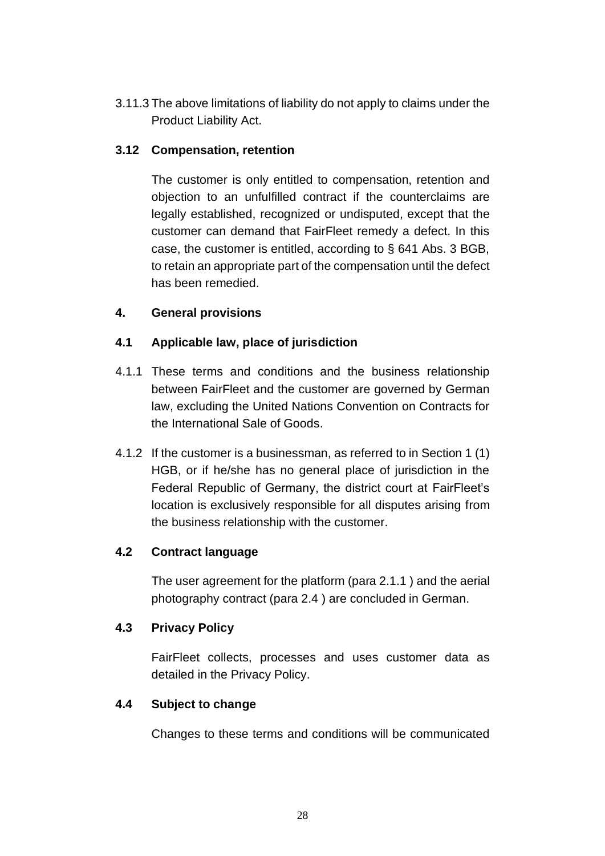3.11.3 The above limitations of liability do not apply to claims under the Product Liability Act.

### **3.12 Compensation, retention**

The customer is only entitled to compensation, retention and objection to an unfulfilled contract if the counterclaims are legally established, recognized or undisputed, except that the customer can demand that FairFleet remedy a defect. In this case, the customer is entitled, according to § 641 Abs. 3 BGB, to retain an appropriate part of the compensation until the defect has been remedied.

# **4. General provisions**

# **4.1 Applicable law, place of jurisdiction**

- 4.1.1 These terms and conditions and the business relationship between FairFleet and the customer are governed by German law, excluding the United Nations Convention on Contracts for the International Sale of Goods.
- 4.1.2 If the customer is a businessman, as referred to in Section 1 (1) HGB, or if he/she has no general place of jurisdiction in the Federal Republic of Germany, the district court at FairFleet's location is exclusively responsible for all disputes arising from the business relationship with the customer.

### **4.2 Contract language**

The user agreement for the platform (para [2.1.1](#page-14-0) ) and the aerial photography contract (para [2.4](#page-19-0) ) are concluded in German.

### **4.3 Privacy Policy**

FairFleet collects, processes and uses customer data as detailed in the Privacy Policy.

### **4.4 Subject to change**

Changes to these terms and conditions will be communicated